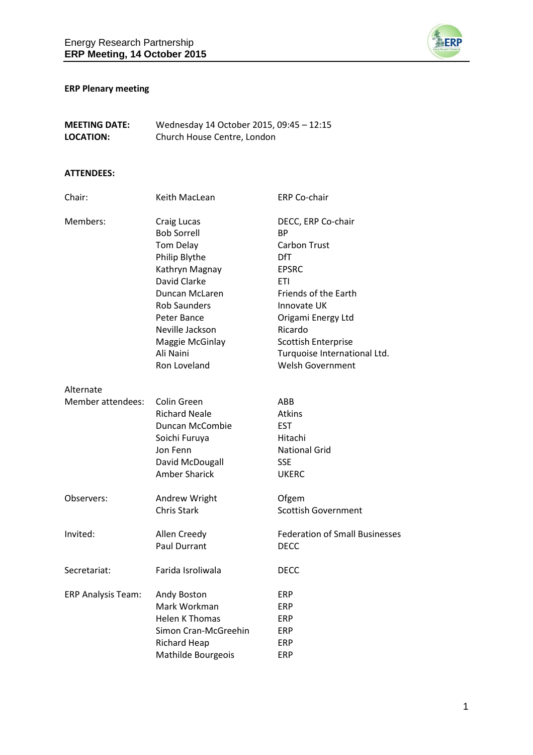

# **ERP Plenary meeting**

| <b>MEETING DATE:</b> | Wednesday 14 October 2015, 09:45 - 12:15 |
|----------------------|------------------------------------------|
| LOCATION:            | Church House Centre, London              |

### **ATTENDEES:**

| Chair:                         | Keith MacLean                                                                                                                                                                                                                | <b>ERP Co-chair</b>                                                                                                                                                                                                                                          |
|--------------------------------|------------------------------------------------------------------------------------------------------------------------------------------------------------------------------------------------------------------------------|--------------------------------------------------------------------------------------------------------------------------------------------------------------------------------------------------------------------------------------------------------------|
| Members:                       | Craig Lucas<br><b>Bob Sorrell</b><br>Tom Delay<br>Philip Blythe<br>Kathryn Magnay<br>David Clarke<br>Duncan McLaren<br><b>Rob Saunders</b><br>Peter Bance<br>Neville Jackson<br>Maggie McGinlay<br>Ali Naini<br>Ron Loveland | DECC, ERP Co-chair<br><b>BP</b><br><b>Carbon Trust</b><br>DfT<br><b>EPSRC</b><br><b>ETI</b><br>Friends of the Earth<br>Innovate UK<br>Origami Energy Ltd<br>Ricardo<br><b>Scottish Enterprise</b><br>Turquoise International Ltd.<br><b>Welsh Government</b> |
| Alternate                      |                                                                                                                                                                                                                              |                                                                                                                                                                                                                                                              |
| Member attendees:              | Colin Green<br><b>Richard Neale</b><br>Duncan McCombie<br>Soichi Furuya<br>Jon Fenn<br>David McDougall<br><b>Amber Sharick</b>                                                                                               | ABB<br><b>Atkins</b><br><b>EST</b><br>Hitachi<br><b>National Grid</b><br><b>SSE</b><br><b>UKERC</b>                                                                                                                                                          |
| Observers:                     | Andrew Wright<br><b>Chris Stark</b>                                                                                                                                                                                          | Ofgem<br><b>Scottish Government</b>                                                                                                                                                                                                                          |
| Invited:                       | Allen Creedy<br><b>Paul Durrant</b>                                                                                                                                                                                          | <b>Federation of Small Businesses</b><br><b>DECC</b>                                                                                                                                                                                                         |
| Secretariat:                   | Farida Isroliwala                                                                                                                                                                                                            | <b>DECC</b>                                                                                                                                                                                                                                                  |
| ERP Analysis Team: Andy Boston | Mark Workman<br><b>Helen K Thomas</b><br>Simon Cran-McGreehin<br><b>Richard Heap</b><br>Mathilde Bourgeois                                                                                                                   | ERP<br>ERP<br>ERP<br>ERP<br><b>ERP</b><br><b>ERP</b>                                                                                                                                                                                                         |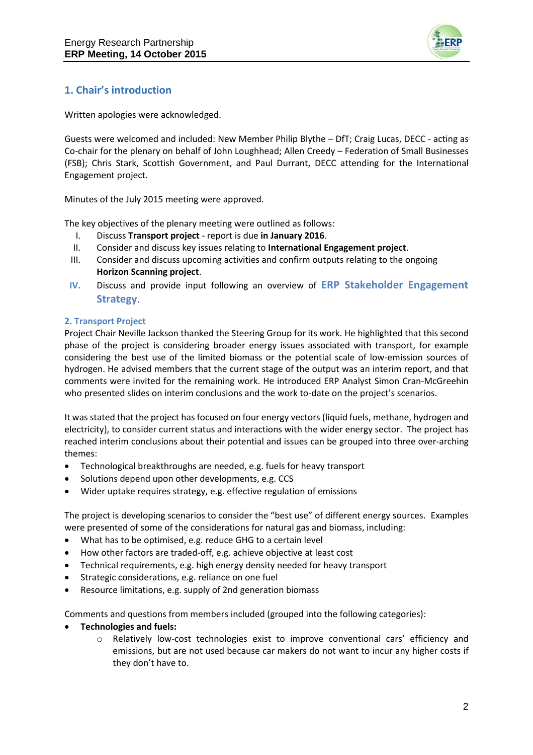

# **1. Chair's introduction**

Written apologies were acknowledged.

Guests were welcomed and included: New Member Philip Blythe – DfT; Craig Lucas, DECC - acting as Co-chair for the plenary on behalf of John Loughhead; Allen Creedy – Federation of Small Businesses (FSB); Chris Stark, Scottish Government, and Paul Durrant, DECC attending for the International Engagement project.

Minutes of the July 2015 meeting were approved.

The key objectives of the plenary meeting were outlined as follows:

- I. Discuss **Transport project** report is due **in January 2016**.
- II. Consider and discuss key issues relating to **International Engagement project**.
- III. Consider and discuss upcoming activities and confirm outputs relating to the ongoing **Horizon Scanning project**.
- **IV.** Discuss and provide input following an overview of **ERP Stakeholder Engagement Strategy**.

#### **2. Transport Project**

Project Chair Neville Jackson thanked the Steering Group for its work. He highlighted that this second phase of the project is considering broader energy issues associated with transport, for example considering the best use of the limited biomass or the potential scale of low-emission sources of hydrogen. He advised members that the current stage of the output was an interim report, and that comments were invited for the remaining work. He introduced ERP Analyst Simon Cran-McGreehin who presented slides on interim conclusions and the work to-date on the project's scenarios.

It was stated that the project has focused on four energy vectors (liquid fuels, methane, hydrogen and electricity), to consider current status and interactions with the wider energy sector. The project has reached interim conclusions about their potential and issues can be grouped into three over-arching themes:

- Technological breakthroughs are needed, e.g. fuels for heavy transport
- Solutions depend upon other developments, e.g. CCS
- Wider uptake requires strategy, e.g. effective regulation of emissions

The project is developing scenarios to consider the "best use" of different energy sources. Examples were presented of some of the considerations for natural gas and biomass, including:

- What has to be optimised, e.g. reduce GHG to a certain level
- How other factors are traded-off, e.g. achieve objective at least cost
- Technical requirements, e.g. high energy density needed for heavy transport
- Strategic considerations, e.g. reliance on one fuel
- Resource limitations, e.g. supply of 2nd generation biomass

Comments and questions from members included (grouped into the following categories):

- **Technologies and fuels:**
	- o Relatively low-cost technologies exist to improve conventional cars' efficiency and emissions, but are not used because car makers do not want to incur any higher costs if they don't have to.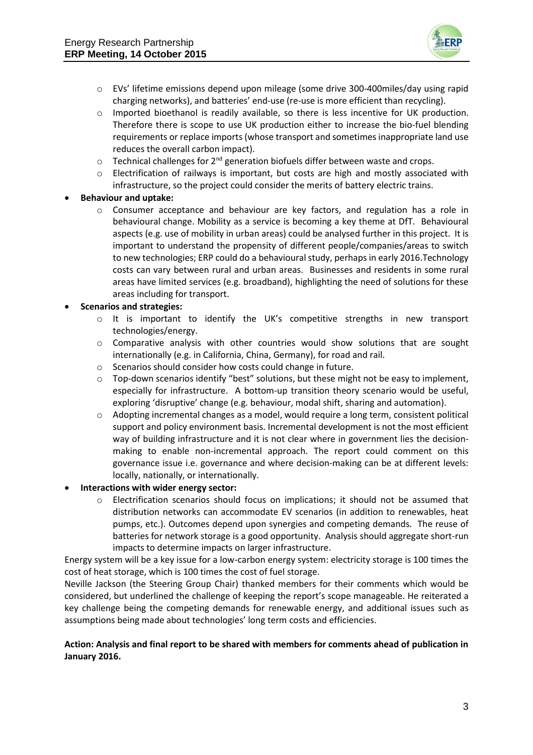

- o EVs' lifetime emissions depend upon mileage (some drive 300-400miles/day using rapid charging networks), and batteries' end-use (re-use is more efficient than recycling).
- o Imported bioethanol is readily available, so there is less incentive for UK production. Therefore there is scope to use UK production either to increase the bio-fuel blending requirements or replace imports (whose transport and sometimes inappropriate land use reduces the overall carbon impact).
- $\circ$  Technical challenges for 2<sup>nd</sup> generation biofuels differ between waste and crops.
- $\circ$  Electrification of railways is important, but costs are high and mostly associated with infrastructure, so the project could consider the merits of battery electric trains.

#### **Behaviour and uptake:**

o Consumer acceptance and behaviour are key factors, and regulation has a role in behavioural change. Mobility as a service is becoming a key theme at DfT. Behavioural aspects (e.g. use of mobility in urban areas) could be analysed further in this project. It is important to understand the propensity of different people/companies/areas to switch to new technologies; ERP could do a behavioural study, perhaps in early 2016.Technology costs can vary between rural and urban areas. Businesses and residents in some rural areas have limited services (e.g. broadband), highlighting the need of solutions for these areas including for transport.

#### **Scenarios and strategies:**

- o It is important to identify the UK's competitive strengths in new transport technologies/energy.
- $\circ$  Comparative analysis with other countries would show solutions that are sought internationally (e.g. in California, China, Germany), for road and rail.
- o Scenarios should consider how costs could change in future.
- o Top-down scenarios identify "best" solutions, but these might not be easy to implement, especially for infrastructure. A bottom-up transition theory scenario would be useful, exploring 'disruptive' change (e.g. behaviour, modal shift, sharing and automation).
- o Adopting incremental changes as a model, would require a long term, consistent political support and policy environment basis. Incremental development is not the most efficient way of building infrastructure and it is not clear where in government lies the decisionmaking to enable non-incremental approach. The report could comment on this governance issue i.e. governance and where decision-making can be at different levels: locally, nationally, or internationally.

#### **Interactions with wider energy sector:**

o Electrification scenarios should focus on implications; it should not be assumed that distribution networks can accommodate EV scenarios (in addition to renewables, heat pumps, etc.). Outcomes depend upon synergies and competing demands. The reuse of batteries for network storage is a good opportunity. Analysis should aggregate short-run impacts to determine impacts on larger infrastructure.

Energy system will be a key issue for a low-carbon energy system: electricity storage is 100 times the cost of heat storage, which is 100 times the cost of fuel storage.

Neville Jackson (the Steering Group Chair) thanked members for their comments which would be considered, but underlined the challenge of keeping the report's scope manageable. He reiterated a key challenge being the competing demands for renewable energy, and additional issues such as assumptions being made about technologies' long term costs and efficiencies.

#### **Action: Analysis and final report to be shared with members for comments ahead of publication in January 2016.**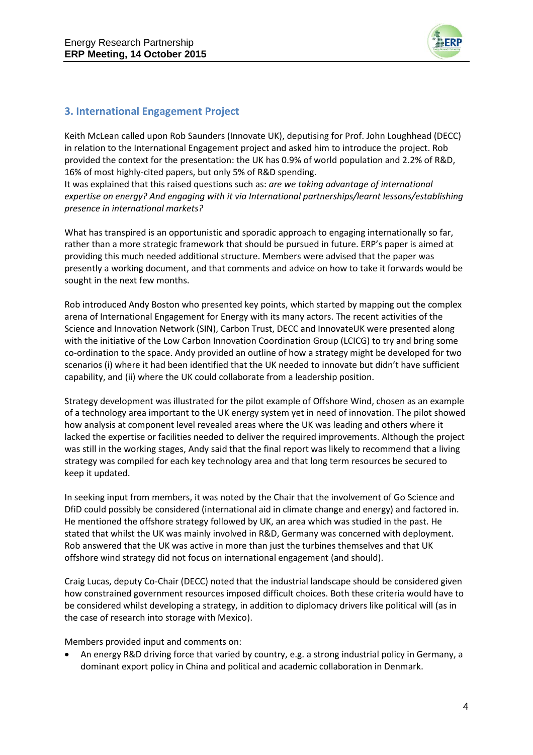

## **3. International Engagement Project**

Keith McLean called upon Rob Saunders (Innovate UK), deputising for Prof. John Loughhead (DECC) in relation to the International Engagement project and asked him to introduce the project. Rob provided the context for the presentation: the UK has 0.9% of world population and 2.2% of R&D, 16% of most highly-cited papers, but only 5% of R&D spending.

It was explained that this raised questions such as: *are we taking advantage of international expertise on energy? And engaging with it via International partnerships/learnt lessons/establishing presence in international markets?*

What has transpired is an opportunistic and sporadic approach to engaging internationally so far, rather than a more strategic framework that should be pursued in future. ERP's paper is aimed at providing this much needed additional structure. Members were advised that the paper was presently a working document, and that comments and advice on how to take it forwards would be sought in the next few months.

Rob introduced Andy Boston who presented key points, which started by mapping out the complex arena of International Engagement for Energy with its many actors. The recent activities of the Science and Innovation Network (SIN), Carbon Trust, DECC and InnovateUK were presented along with the initiative of the Low Carbon Innovation Coordination Group (LCICG) to try and bring some co-ordination to the space. Andy provided an outline of how a strategy might be developed for two scenarios (i) where it had been identified that the UK needed to innovate but didn't have sufficient capability, and (ii) where the UK could collaborate from a leadership position.

Strategy development was illustrated for the pilot example of Offshore Wind, chosen as an example of a technology area important to the UK energy system yet in need of innovation. The pilot showed how analysis at component level revealed areas where the UK was leading and others where it lacked the expertise or facilities needed to deliver the required improvements. Although the project was still in the working stages, Andy said that the final report was likely to recommend that a living strategy was compiled for each key technology area and that long term resources be secured to keep it updated.

In seeking input from members, it was noted by the Chair that the involvement of Go Science and DfiD could possibly be considered (international aid in climate change and energy) and factored in. He mentioned the offshore strategy followed by UK, an area which was studied in the past. He stated that whilst the UK was mainly involved in R&D, Germany was concerned with deployment. Rob answered that the UK was active in more than just the turbines themselves and that UK offshore wind strategy did not focus on international engagement (and should).

Craig Lucas, deputy Co-Chair (DECC) noted that the industrial landscape should be considered given how constrained government resources imposed difficult choices. Both these criteria would have to be considered whilst developing a strategy, in addition to diplomacy drivers like political will (as in the case of research into storage with Mexico).

Members provided input and comments on:

 An energy R&D driving force that varied by country, e.g. a strong industrial policy in Germany, a dominant export policy in China and political and academic collaboration in Denmark.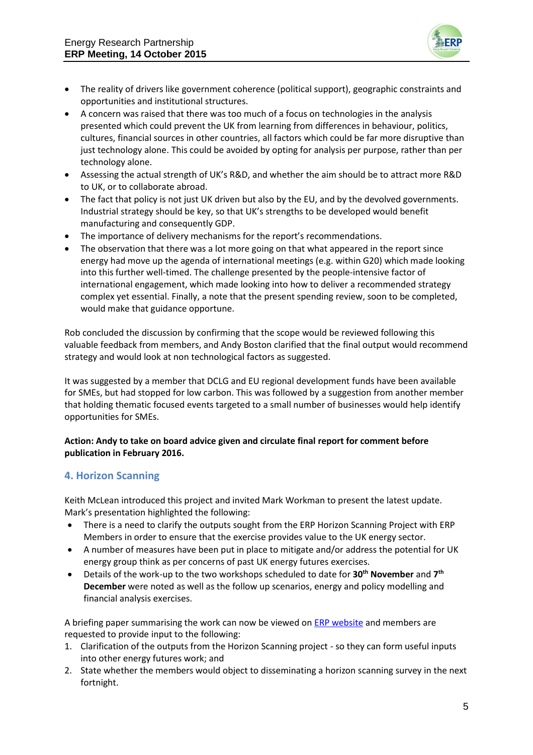

- The reality of drivers like government coherence (political support), geographic constraints and opportunities and institutional structures.
- A concern was raised that there was too much of a focus on technologies in the analysis presented which could prevent the UK from learning from differences in behaviour, politics, cultures, financial sources in other countries, all factors which could be far more disruptive than just technology alone. This could be avoided by opting for analysis per purpose, rather than per technology alone.
- Assessing the actual strength of UK's R&D, and whether the aim should be to attract more R&D to UK, or to collaborate abroad.
- The fact that policy is not just UK driven but also by the EU, and by the devolved governments. Industrial strategy should be key, so that UK's strengths to be developed would benefit manufacturing and consequently GDP.
- The importance of delivery mechanisms for the report's recommendations.
- The observation that there was a lot more going on that what appeared in the report since energy had move up the agenda of international meetings (e.g. within G20) which made looking into this further well-timed. The challenge presented by the people-intensive factor of international engagement, which made looking into how to deliver a recommended strategy complex yet essential. Finally, a note that the present spending review, soon to be completed, would make that guidance opportune.

Rob concluded the discussion by confirming that the scope would be reviewed following this valuable feedback from members, and Andy Boston clarified that the final output would recommend strategy and would look at non technological factors as suggested.

It was suggested by a member that DCLG and EU regional development funds have been available for SMEs, but had stopped for low carbon. This was followed by a suggestion from another member that holding thematic focused events targeted to a small number of businesses would help identify opportunities for SMEs.

### **Action: Andy to take on board advice given and circulate final report for comment before publication in February 2016.**

### **4. Horizon Scanning**

Keith McLean introduced this project and invited Mark Workman to present the latest update. Mark's presentation highlighted the following:

- There is a need to clarify the outputs sought from the ERP Horizon Scanning Project with ERP Members in order to ensure that the exercise provides value to the UK energy sector.
- A number of measures have been put in place to mitigate and/or address the potential for UK energy group think as per concerns of past UK energy futures exercises.
- Details of the work-up to the two workshops scheduled to date for **30th November** and **7 th December** were noted as well as the follow up scenarios, energy and policy modelling and financial analysis exercises.

A briefing paper summarising the work can now be viewed on **ERP** website and members are requested to provide input to the following:

- 1. Clarification of the outputs from the Horizon Scanning project so they can form useful inputs into other energy futures work; and
- 2. State whether the members would object to disseminating a horizon scanning survey in the next fortnight.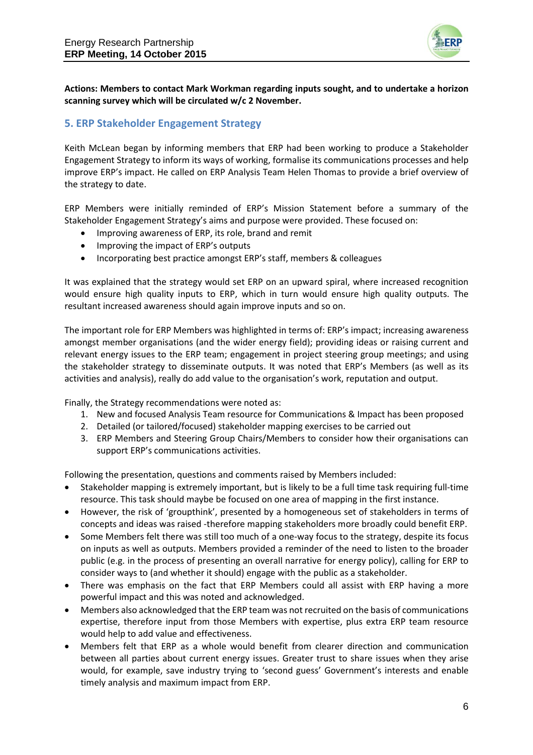

**Actions: Members to contact Mark Workman regarding inputs sought, and to undertake a horizon scanning survey which will be circulated w/c 2 November.**

### **5. ERP Stakeholder Engagement Strategy**

Keith McLean began by informing members that ERP had been working to produce a Stakeholder Engagement Strategy to inform its ways of working, formalise its communications processes and help improve ERP's impact. He called on ERP Analysis Team Helen Thomas to provide a brief overview of the strategy to date.

ERP Members were initially reminded of ERP's Mission Statement before a summary of the Stakeholder Engagement Strategy's aims and purpose were provided. These focused on:

- Improving awareness of ERP, its role, brand and remit
- Improving the impact of ERP's outputs
- Incorporating best practice amongst ERP's staff, members & colleagues

It was explained that the strategy would set ERP on an upward spiral, where increased recognition would ensure high quality inputs to ERP, which in turn would ensure high quality outputs. The resultant increased awareness should again improve inputs and so on.

The important role for ERP Members was highlighted in terms of: ERP's impact; increasing awareness amongst member organisations (and the wider energy field); providing ideas or raising current and relevant energy issues to the ERP team; engagement in project steering group meetings; and using the stakeholder strategy to disseminate outputs. It was noted that ERP's Members (as well as its activities and analysis), really do add value to the organisation's work, reputation and output.

Finally, the Strategy recommendations were noted as:

- 1. New and focused Analysis Team resource for Communications & Impact has been proposed
- 2. Detailed (or tailored/focused) stakeholder mapping exercises to be carried out
- 3. ERP Members and Steering Group Chairs/Members to consider how their organisations can support ERP's communications activities.

Following the presentation, questions and comments raised by Members included:

- Stakeholder mapping is extremely important, but is likely to be a full time task requiring full-time resource. This task should maybe be focused on one area of mapping in the first instance.
- However, the risk of 'groupthink', presented by a homogeneous set of stakeholders in terms of concepts and ideas was raised -therefore mapping stakeholders more broadly could benefit ERP.
- Some Members felt there was still too much of a one-way focus to the strategy, despite its focus on inputs as well as outputs. Members provided a reminder of the need to listen to the broader public (e.g. in the process of presenting an overall narrative for energy policy), calling for ERP to consider ways to (and whether it should) engage with the public as a stakeholder.
- There was emphasis on the fact that ERP Members could all assist with ERP having a more powerful impact and this was noted and acknowledged.
- Members also acknowledged that the ERP team was not recruited on the basis of communications expertise, therefore input from those Members with expertise, plus extra ERP team resource would help to add value and effectiveness.
- Members felt that ERP as a whole would benefit from clearer direction and communication between all parties about current energy issues. Greater trust to share issues when they arise would, for example, save industry trying to 'second guess' Government's interests and enable timely analysis and maximum impact from ERP.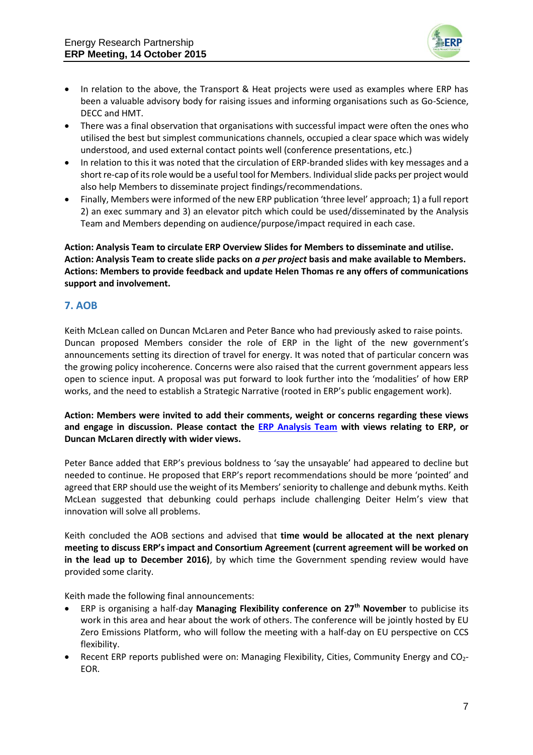

- In relation to the above, the Transport & Heat projects were used as examples where ERP has been a valuable advisory body for raising issues and informing organisations such as Go-Science, DECC and HMT.
- There was a final observation that organisations with successful impact were often the ones who utilised the best but simplest communications channels, occupied a clear space which was widely understood, and used external contact points well (conference presentations, etc.)
- In relation to this it was noted that the circulation of ERP-branded slides with key messages and a short re-cap of its role would be a useful tool for Members. Individual slide packs per project would also help Members to disseminate project findings/recommendations.
- Finally, Members were informed of the new ERP publication 'three level' approach; 1) a full report 2) an exec summary and 3) an elevator pitch which could be used/disseminated by the Analysis Team and Members depending on audience/purpose/impact required in each case.

**Action: Analysis Team to circulate ERP Overview Slides for Members to disseminate and utilise. Action: Analysis Team to create slide packs on** *a per project* **basis and make available to Members. Actions: Members to provide feedback and update Helen Thomas re any offers of communications support and involvement.**

## **7. AOB**

Keith McLean called on Duncan McLaren and Peter Bance who had previously asked to raise points. Duncan proposed Members consider the role of ERP in the light of the new government's announcements setting its direction of travel for energy. It was noted that of particular concern was the growing policy incoherence. Concerns were also raised that the current government appears less open to science input. A proposal was put forward to look further into the 'modalities' of how ERP works, and the need to establish a Strategic Narrative (rooted in ERP's public engagement work).

**Action: Members were invited to add their comments, weight or concerns regarding these views and engage in discussion. Please contact the [ERP Analysis Team](mailto:%20info@erpuk.org) with views relating to ERP, or Duncan McLaren directly with wider views.**

Peter Bance added that ERP's previous boldness to 'say the unsayable' had appeared to decline but needed to continue. He proposed that ERP's report recommendations should be more 'pointed' and agreed that ERP should use the weight of its Members' seniority to challenge and debunk myths. Keith McLean suggested that debunking could perhaps include challenging Deiter Helm's view that innovation will solve all problems.

Keith concluded the AOB sections and advised that **time would be allocated at the next plenary meeting to discuss ERP's impact and Consortium Agreement (current agreement will be worked on in the lead up to December 2016)**, by which time the Government spending review would have provided some clarity.

Keith made the following final announcements:

- ERP is organising a half-day **Managing Flexibility conference on 27th November** to publicise its work in this area and hear about the work of others. The conference will be jointly hosted by EU Zero Emissions Platform, who will follow the meeting with a half-day on EU perspective on CCS flexibility.
- Recent ERP reports published were on: Managing Flexibility, Cities, Community Energy and CO<sub>2</sub>-EOR.